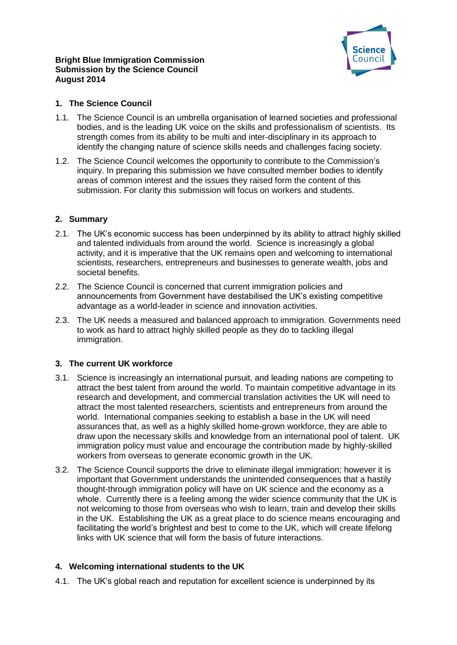### **Bright Blue Immigration Commission Submission by the Science Council August 2014**



## **1. The Science Council**

- 1.1. The Science Council is an umbrella organisation of learned societies and professional bodies, and is the leading UK voice on the skills and professionalism of scientists. Its strength comes from its ability to be multi and inter-disciplinary in its approach to identify the changing nature of science skills needs and challenges facing society.
- 1.2. The Science Council welcomes the opportunity to contribute to the Commission's inquiry. In preparing this submission we have consulted member bodies to identify areas of common interest and the issues they raised form the content of this submission. For clarity this submission will focus on workers and students.

# **2. Summary**

- 2.1. The UK's economic success has been underpinned by its ability to attract highly skilled and talented individuals from around the world. Science is increasingly a global activity, and it is imperative that the UK remains open and welcoming to international scientists, researchers, entrepreneurs and businesses to generate wealth, jobs and societal benefits.
- 2.2. The Science Council is concerned that current immigration policies and announcements from Government have destabilised the UK's existing competitive advantage as a world-leader in science and innovation activities.
- 2.3. The UK needs a measured and balanced approach to immigration. Governments need to work as hard to attract highly skilled people as they do to tackling illegal immigration.

### **3. The current UK workforce**

- 3.1. Science is increasingly an international pursuit, and leading nations are competing to attract the best talent from around the world. To maintain competitive advantage in its research and development, and commercial translation activities the UK will need to attract the most talented researchers, scientists and entrepreneurs from around the world. International companies seeking to establish a base in the UK will need assurances that, as well as a highly skilled home-grown workforce, they are able to draw upon the necessary skills and knowledge from an international pool of talent. UK immigration policy must value and encourage the contribution made by highly-skilled workers from overseas to generate economic growth in the UK.
- 3.2. The Science Council supports the drive to eliminate illegal immigration; however it is important that Government understands the unintended consequences that a hastily thought-through immigration policy will have on UK science and the economy as a whole. Currently there is a feeling among the wider science community that the UK is not welcoming to those from overseas who wish to learn, train and develop their skills in the UK. Establishing the UK as a great place to do science means encouraging and facilitating the world's brightest and best to come to the UK, which will create lifelong links with UK science that will form the basis of future interactions.

# **4. Welcoming international students to the UK**

4.1. The UK's global reach and reputation for excellent science is underpinned by its